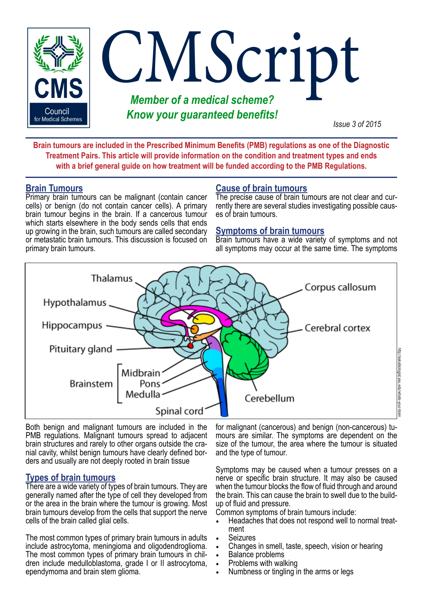

**Brain tumours are included in the Prescribed Minimum Benefits (PMB) regulations as one of the Diagnostic Treatment Pairs. This article will provide information on the condition and treatment types and ends with a brief general guide on how treatment will be funded according to the PMB Regulations.**

#### **Brain Tumours**

Primary brain tumours can be malignant (contain cancer cells) or benign (do not contain cancer cells). A primary brain tumour begins in the brain. If a cancerous tumour which starts elsewhere in the body sends cells that ends up growing in the brain, such tumours are called secondary or metastatic brain tumours. This discussion is focused on primary brain tumours.

# **Cause of brain tumours**

The precise cause of brain tumours are not clear and currently there are several studies investigating possible causes of brain tumours.

### **Symptoms of brain tumours**

Brain tumours have a wide variety of symptoms and not all symptoms may occur at the same time. The symptoms



Both benign and malignant tumours are included in the PMB regulations. Malignant tumours spread to adjacent brain structures and rarely to other organs outside the cranial cavity, whilst benign tumours have clearly defined borders and usually are not deeply rooted in brain tissue

## **Types of brain tumours**

There are a wide variety of types of brain tumours. They are generally named after the type of cell they developed from or the area in the brain where the tumour is growing. Most brain tumours develop from the cells that support the nerve cells of the brain called glial cells.

The most common types of primary brain tumours in adults include astrocytoma, meningioma and oligodendroglioma. The most common types of primary brain tumours in children include medulloblastoma, grade I or II astrocytoma, ependymoma and brain stem glioma.

for malignant (cancerous) and benign (non-cancerous) tumours are similar. The symptoms are dependent on the size of the tumour, the area where the tumour is situated and the type of tumour.

Symptoms may be caused when a tumour presses on a nerve or specific brain structure. It may also be caused when the tumour blocks the flow of fluid through and around the brain. This can cause the brain to swell due to the buildup of fluid and pressure.

Common symptoms of brain tumours include:

- Headaches that does not respond well to normal treat- ment
- **Seizures**
- Changes in smell, taste, speech, vision or hearing
- **Balance problems**<br>Problems with walking
- 
- Numbness or tingling in the arms or legs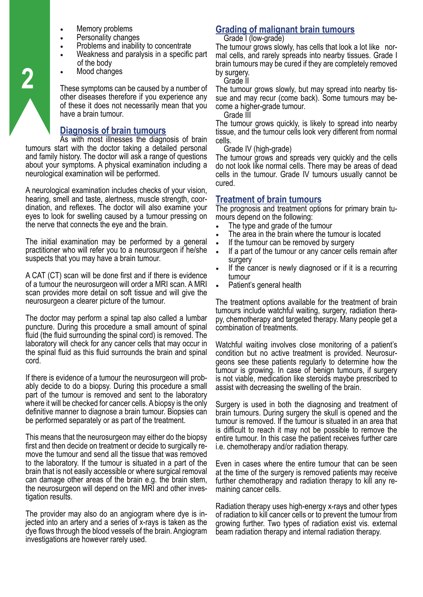- Memory problems
- Personality changes
- Problems and inability to concentrate
- Weakness and paralysis in a specific part of the body
- Mood changes

These symptoms can be caused by a number of other diseases therefore if you experience any of these it does not necessarily mean that you have a brain tumour.

# **Diagnosis of brain tumours**

As with most illnesses the diagnosis of brain tumours start with the doctor taking a detailed personal and family history. The doctor will ask a range of questions about your symptoms. A physical examination including a neurological examination will be performed.

A neurological examination includes checks of your vision, hearing, smell and taste, alertness, muscle strength, coordination, and reflexes. The doctor will also examine your eyes to look for swelling caused by a tumour pressing on the nerve that connects the eye and the brain.

The initial examination may be performed by a general practitioner who will refer you to a neurosurgeon if he/she suspects that you may have a brain tumour.

A CAT (CT) scan will be done first and if there is evidence of a tumour the neurosurgeon will order a MRI scan. A MRI scan provides more detail on soft tissue and will give the neurosurgeon a clearer picture of the tumour.

The doctor may perform a spinal tap also called a lumbar puncture. During this procedure a small amount of spinal fluid (the fluid surrounding the spinal cord) is removed. The laboratory will check for any cancer cells that may occur in the spinal fluid as this fluid surrounds the brain and spinal cord.

If there is evidence of a tumour the neurosurgeon will probably decide to do a biopsy. During this procedure a small part of the tumour is removed and sent to the laboratory where it will be checked for cancer cells. A biopsy is the only definitive manner to diagnose a brain tumour. Biopsies can be performed separately or as part of the treatment.

This means that the neurosurgeon may either do the biopsy first and then decide on treatment or decide to surgically remove the tumour and send all the tissue that was removed to the laboratory. If the tumour is situated in a part of the brain that is not easily accessible or where surgical removal can damage other areas of the brain e.g. the brain stem, the neurosurgeon will depend on the MRI and other inves- tigation results.

The provider may also do an angiogram where dye is in- jected into an artery and a series of x-rays is taken as the dye flows through the blood vessels of the brain. Angiogram investigations are however rarely used.

# **Grading of malignant brain tumours**

Grade I (low-grade)

The tumour grows slowly, has cells that look a lot like normal cells, and rarely spreads into nearby tissues. Grade I brain tumours may be cured if they are completely removed by surgery.

Grade II

The tumour grows slowly, but may spread into nearby tissue and may recur (come back). Some tumours may become a higher-grade tumour.

Grade III

The tumour grows quickly, is likely to spread into nearby tissue, and the tumour cells look very different from normal cells.

Grade IV (high-grade)

The tumour grows and spreads very quickly and the cells do not look like normal cells. There may be areas of dead cells in the tumour. Grade IV tumours usually cannot be cured.

#### **Treatment of brain tumours**

The prognosis and treatment options for primary brain tumours depend on the following:

- The type and grade of the tumour
- The area in the brain where the tumour is located
- If the tumour can be removed by surgery
- If a part of the tumour or any cancer cells remain after surgery
- If the cancer is newly diagnosed or if it is a recurring tumour
- Patient's general health

The treatment options available for the treatment of brain tumours include watchful waiting, surgery, radiation therapy, chemotherapy and targeted therapy. Many people get a combination of treatments.

Watchful waiting involves close monitoring of a patient's condition but no active treatment is provided. Neurosurgeons see these patients regularly to determine how the tumour is growing. In case of benign tumours, if surgery is not viable, medication like steroids maybe prescribed to assist with decreasing the swelling of the brain.

Surgery is used in both the diagnosing and treatment of brain tumours. During surgery the skull is opened and the tumour is removed. If the tumour is situated in an area that is difficult to reach it may not be possible to remove the entire tumour. In this case the patient receives further care i.e. chemotherapy and/or radiation therapy.

Even in cases where the entire tumour that can be seen at the time of the surgery is removed patients may receive further chemotherapy and radiation therapy to kill any remaining cancer cells.

Radiation therapy uses high-energy x-rays and other types of radiation to kill cancer cells or to prevent the tumour from growing further. Two types of radiation exist vis. external beam radiation therapy and internal radiation therapy.

**2**